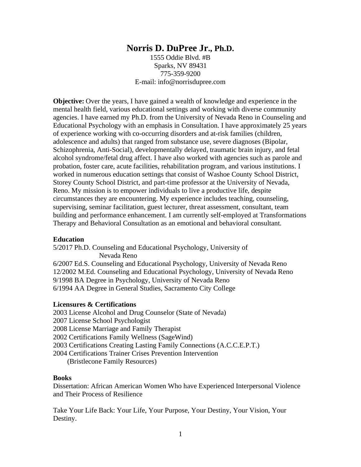# **Norris D. DuPree Jr., Ph.D.**

1555 Oddie Blvd. #B Sparks, NV 89431 775-359-9200 E-mail: info@norrisdupree.com

**Objective:** Over the years, I have gained a wealth of knowledge and experience in the mental health field, various educational settings and working with diverse community agencies. I have earned my Ph.D. from the University of Nevada Reno in Counseling and Educational Psychology with an emphasis in Consultation. I have approximately 25 years of experience working with co-occurring disorders and at-risk families (children, adolescence and adults) that ranged from substance use, severe diagnoses (Bipolar, Schizophrenia, Anti-Social), developmentally delayed, traumatic brain injury, and fetal alcohol syndrome/fetal drug affect. I have also worked with agencies such as parole and probation, foster care, acute facilities, rehabilitation program, and various institutions. I worked in numerous education settings that consist of Washoe County School District, Storey County School District, and part-time professor at the University of Nevada, Reno. My mission is to empower individuals to live a productive life, despite circumstances they are encountering. My experience includes teaching, counseling, supervising, seminar facilitation, guest lecturer, threat assessment, consultant, team building and performance enhancement. I am currently self-employed at Transformations Therapy and Behavioral Consultation as an emotional and behavioral consultant.

#### **Education**

5/2017 Ph.D. Counseling and Educational Psychology, University of Nevada Reno 6/2007 Ed.S. Counseling and Educational Psychology, University of Nevada Reno 12/2002 M.Ed. Counseling and Educational Psychology, University of Nevada Reno 9/1998 BA Degree in Psychology, University of Nevada Reno

6/1994 AA Degree in General Studies, Sacramento City College

#### **Licensures & Certifications**

2003 License Alcohol and Drug Counselor (State of Nevada) 2007 License School Psychologist 2008 License Marriage and Family Therapist 2002 Certifications Family Wellness (SageWind) 2003 Certifications Creating Lasting Family Connections (A.C.C.E.P.T.) 2004 Certifications Trainer Crises Prevention Intervention (Bristlecone Family Resources)

#### **Books**

Dissertation: African American Women Who have Experienced Interpersonal Violence and Their Process of Resilience

Take Your Life Back: Your Life, Your Purpose, Your Destiny, Your Vision, Your Destiny.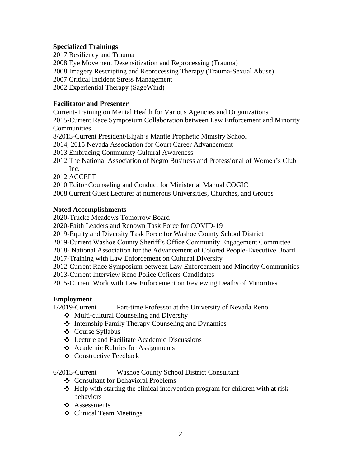## **Specialized Trainings**

2017 Resiliency and Trauma 2008 Eye Movement Desensitization and Reprocessing (Trauma) 2008 Imagery Rescripting and Reprocessing Therapy (Trauma-Sexual Abuse) 2007 Critical Incident Stress Management 2002 Experiential Therapy (SageWind)

## **Facilitator and Presenter**

Current-Training on Mental Health for Various Agencies and Organizations

2015-Current Race Symposium Collaboration between Law Enforcement and Minority **Communities** 

8/2015-Current President/Elijah's Mantle Prophetic Ministry School

2014, 2015 Nevada Association for Court Career Advancement

- 2013 Embracing Community Cultural Awareness
- 2012 The National Association of Negro Business and Professional of Women's Club Inc.

2012 ACCEPT

2010 Editor Counseling and Conduct for Ministerial Manual COGIC

2008 Current Guest Lecturer at numerous Universities, Churches, and Groups

## **Noted Accomplishments**

2020-Trucke Meadows Tomorrow Board

2020-Faith Leaders and Renown Task Force for COVID-19

2019-Equity and Diversity Task Force for Washoe County School District

2019-Current Washoe County Sheriff's Office Community Engagement Committee

2018- National Association for the Advancement of Colored People-Executive Board

2017-Training with Law Enforcement on Cultural Diversity

2012-Current Race Symposium between Law Enforcement and Minority Communities

2013-Current Interview Reno Police Officers Candidates

2015-Current Work with Law Enforcement on Reviewing Deaths of Minorities

## **Employment**

1/2019-Current Part-time Professor at the University of Nevada Reno

- $\triangleleft$  Multi-cultural Counseling and Diversity
- ❖ Internship Family Therapy Counseling and Dynamics
- Course Syllabus
- Lecture and Facilitate Academic Discussions
- Academic Rubrics for Assignments
- Constructive Feedback

6/2015-Current Washoe County School District Consultant

- Consultant for Behavioral Problems
- $\triangleleft$  Help with starting the clinical intervention program for children with at risk behaviors
- ❖ Assessments
- Clinical Team Meetings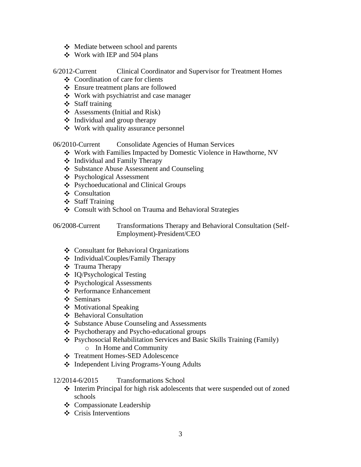- $\triangleleft$  Mediate between school and parents
- $\div$  Work with IEP and 504 plans

### 6/2012-Current Clinical Coordinator and Supervisor for Treatment Homes

- $\triangleleft$  Coordination of care for clients
- Ensure treatment plans are followed
- Work with psychiatrist and case manager
- Staff training
- $\triangleleft$  Assessments (Initial and Risk)
- $\triangleleft$  Individual and group therapy
- Work with quality assurance personnel

06/2010-Current Consolidate Agencies of Human Services

- Work with Families Impacted by Domestic Violence in Hawthorne, NV
- $\triangleleft$  Individual and Family Therapy
- Substance Abuse Assessment and Counseling
- Psychological Assessment
- Psychoeducational and Clinical Groups
- Consultation
- Staff Training
- Consult with School on Trauma and Behavioral Strategies

06/2008-Current Transformations Therapy and Behavioral Consultation (Self-Employment)-President/CEO

- Consultant for Behavioral Organizations
- $\triangleleft$  Individual/Couples/Family Therapy
- ❖ Trauma Therapy
- IQ/Psychological Testing
- Psychological Assessments
- Performance Enhancement
- ❖ Seminars
- Motivational Speaking
- $\triangle$  Behavioral Consultation
- Substance Abuse Counseling and Assessments
- Psychotherapy and Psycho-educational groups
- Psychosocial Rehabilitation Services and Basic Skills Training (Family) o In Home and Community
- Treatment Homes-SED Adolescence
- Independent Living Programs-Young Adults

#### 12/2014-6/2015 Transformations School

- Interim Principal for high risk adolescents that were suspended out of zoned schools
- Compassionate Leadership
- **☆** Crisis Interventions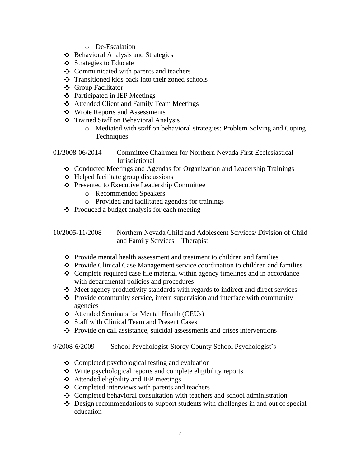- o De-Escalation
- $\triangle$  Behavioral Analysis and Strategies
- $\div$  Strategies to Educate
- $\triangle$  Communicated with parents and teachers
- $\div$  Transitioned kids back into their zoned schools
- Group Facilitator
- $\triangle$  Participated in IEP Meetings
- Attended Client and Family Team Meetings
- Wrote Reports and Assessments
- Trained Staff on Behavioral Analysis
	- o Mediated with staff on behavioral strategies: Problem Solving and Coping **Techniques**

01/2008-06/2014 Committee Chairmen for Northern Nevada First Ecclesiastical Jurisdictional

- Conducted Meetings and Agendas for Organization and Leadership Trainings
- $\triangle$  Helped facilitate group discussions
- Presented to Executive Leadership Committee
	- o Recommended Speakers
	- o Provided and facilitated agendas for trainings
- $\triangle$  Produced a budget analysis for each meeting

10/2005-11/2008 Northern Nevada Child and Adolescent Services/ Division of Child and Family Services – Therapist

- $\triangle$  Provide mental health assessment and treatment to children and families
- $\div$  Provide Clinical Case Management service coordination to children and families
- $\triangle$  Complete required case file material within agency timelines and in accordance with departmental policies and procedures
- $\triangle$  Meet agency productivity standards with regards to indirect and direct services
- $\triangle$  Provide community service, intern supervision and interface with community agencies
- Attended Seminars for Mental Health (CEUs)
- Staff with Clinical Team and Present Cases
- $\triangle$  Provide on call assistance, suicidal assessments and crises interventions

- Completed psychological testing and evaluation
- $\mathbf{\hat{P}}$  Write psychological reports and complete eligibility reports
- $\triangleleft$  Attended eligibility and IEP meetings
- $\triangle$  Completed interviews with parents and teachers
- Completed behavioral consultation with teachers and school administration
- $\triangleleft$  Design recommendations to support students with challenges in and out of special education

<sup>9/2008-6/2009</sup> School Psychologist-Storey County School Psychologist's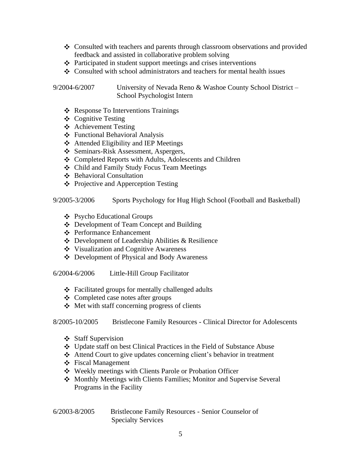- Consulted with teachers and parents through classroom observations and provided feedback and assisted in collaborative problem solving
- $\triangle$  Participated in student support meetings and crises interventions
- $\cdot \cdot$  Consulted with school administrators and teachers for mental health issues

9/2004-6/2007 University of Nevada Reno & Washoe County School District – School Psychologist Intern

- ❖ Response To Interventions Trainings
- $\triangle$  Cognitive Testing
- Achievement Testing
- Functional Behavioral Analysis
- $\triangle$  Attended Eligibility and IEP Meetings
- Seminars-Risk Assessment, Aspergers,
- Completed Reports with Adults, Adolescents and Children
- Child and Family Study Focus Team Meetings
- ❖ Behavioral Consultation
- $\triangle$  Projective and Apperception Testing

9/2005-3/2006 Sports Psychology for Hug High School (Football and Basketball)

- Psycho Educational Groups
- Development of Team Concept and Building
- Performance Enhancement
- Development of Leadership Abilities & Resilience
- Visualization and Cognitive Awareness
- Development of Physical and Body Awareness

6/2004-6/2006 Little-Hill Group Facilitator

- $\triangle$  Facilitated groups for mentally challenged adults
- $\triangle$  Completed case notes after groups
- $\triangle$  Met with staff concerning progress of clients

8/2005-10/2005 Bristlecone Family Resources - Clinical Director for Adolescents

- Staff Supervision
- Update staff on best Clinical Practices in the Field of Substance Abuse
- Attend Court to give updates concerning client's behavior in treatment
- Fiscal Management
- Weekly meetings with Clients Parole or Probation Officer
- ❖ Monthly Meetings with Clients Families; Monitor and Supervise Several Programs in the Facility

| $6/2003 - 8/2005$ | Bristlecone Family Resources - Senior Counselor of |
|-------------------|----------------------------------------------------|
|                   | <b>Specialty Services</b>                          |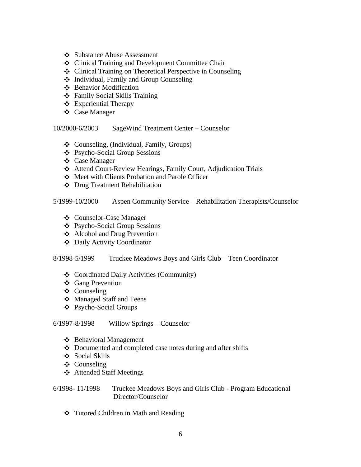- Substance Abuse Assessment
- ❖ Clinical Training and Development Committee Chair
- Clinical Training on Theoretical Perspective in Counseling
- Individual, Family and Group Counseling
- Behavior Modification
- Family Social Skills Training
- Experiential Therapy
- Case Manager

10/2000-6/2003 SageWind Treatment Center – Counselor

- Counseling, (Individual, Family, Groups)
- Psycho-Social Group Sessions
- Case Manager
- Attend Court-Review Hearings, Family Court, Adjudication Trials
- Meet with Clients Probation and Parole Officer
- Drug Treatment Rehabilitation

### 5/1999-10/2000 Aspen Community Service – Rehabilitation Therapists/Counselor

- Counselor-Case Manager
- Psycho-Social Group Sessions
- Alcohol and Drug Prevention
- Daily Activity Coordinator

### 8/1998-5/1999 Truckee Meadows Boys and Girls Club – Teen Coordinator

- Coordinated Daily Activities (Community)
- Gang Prevention
- ❖ Counseling
- Managed Staff and Teens
- Psycho-Social Groups

### 6/1997-8/1998 Willow Springs – Counselor

- Behavioral Management
- $\triangle$  Documented and completed case notes during and after shifts
- Social Skills
- Counseling
- Attended Staff Meetings
- 6/1998- 11/1998 Truckee Meadows Boys and Girls Club Program Educational Director/Counselor
	- Tutored Children in Math and Reading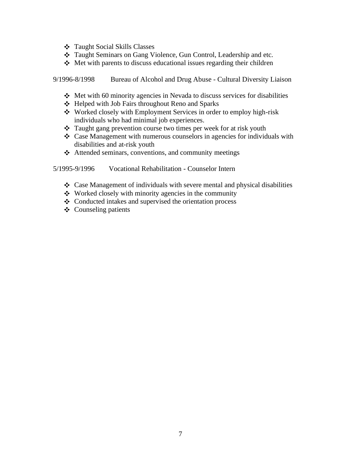- Taught Social Skills Classes
- Taught Seminars on Gang Violence, Gun Control, Leadership and etc.
- $\triangle$  Met with parents to discuss educational issues regarding their children

9/1996-8/1998 Bureau of Alcohol and Drug Abuse - Cultural Diversity Liaison

- $\div$  Met with 60 minority agencies in Nevada to discuss services for disabilities
- Helped with Job Fairs throughout Reno and Sparks
- Worked closely with Employment Services in order to employ high-risk individuals who had minimal job experiences.
- Taught gang prevention course two times per week for at risk youth
- $\triangleleft$  Case Management with numerous counselors in agencies for individuals with disabilities and at-risk youth
- $\triangleleft$  Attended seminars, conventions, and community meetings

5/1995-9/1996 Vocational Rehabilitation - Counselor Intern

- $\triangle$  Case Management of individuals with severe mental and physical disabilities
- $\triangle$  Worked closely with minority agencies in the community
- $\triangleleft$  Conducted intakes and supervised the orientation process
- $\triangleleft$  Counseling patients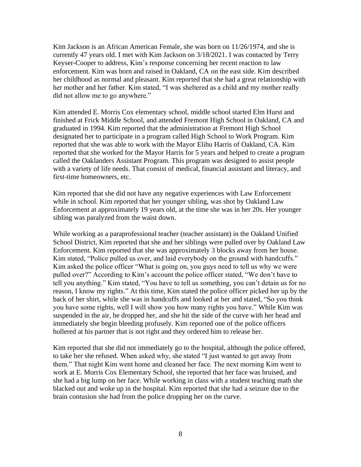Kim Jackson is an African American Female, she was born on 11/26/1974, and she is currently 47 years old. I met with Kim Jackson on 3/18/2021. I was contacted by Terry Keyser-Cooper to address, Kim's response concerning her recent reaction to law enforcement. Kim was born and raised in Oakland, CA on the east side. Kim described her childhood as normal and pleasant. Kim reported that she had a great relationship with her mother and her father. Kim stated, "I was sheltered as a child and my mother really did not allow me to go anywhere."

Kim attended E. Morris Cox elementary school, middle school started Elm Hurst and finished at Frick Middle School, and attended Fremont High School in Oakland, CA and graduated in 1994. Kim reported that the administration at Fremont High School designated her to participate in a program called High School to Work Program. Kim reported that she was able to work with the Mayor Elihu Harris of Oakland, CA. Kim reported that she worked for the Mayor Harris for 5 years and helped to create a program called the Oaklanders Assistant Program. This program was designed to assist people with a variety of life needs. That consist of medical, financial assistant and literacy, and first-time homeowners, etc.

Kim reported that she did not have any negative experiences with Law Enforcement while in school. Kim reported that her younger sibling, was shot by Oakland Law Enforcement at approximately 19 years old, at the time she was in her 20s. Her younger sibling was paralyzed from the waist down.

While working as a paraprofessional teacher (teacher assistant) in the Oakland Unified School District, Kim reported that she and her siblings were pulled over by Oakland Law Enforcement. Kim reported that she was approximately 3 blocks away from her house. Kim stated, "Police pulled us over, and laid everybody on the ground with handcuffs." Kim asked the police officer "What is going on, you guys need to tell us why we were pulled over?" According to Kim's account the police officer stated, "We don't have to tell you anything." Kim stated, "You have to tell us something, you can't detain us for no reason, I know my rights." At this time, Kim stated the police officer picked her up by the back of her shirt, while she was in handcuffs and looked at her and stated, "So you think you have some rights, well I will show you how many rights you have." While Kim was suspended in the air, he dropped her, and she hit the side of the curve with her head and immediately she begin bleeding profusely. Kim reported one of the police officers hollered at his partner that is not right and they ordered him to release her.

Kim reported that she did not immediately go to the hospital, although the police offered, to take her she refused. When asked why, she stated "I just wanted to get away from them." That night Kim went home and cleaned her face. The next morning Kim went to work at E. Morris Cox Elementary School, she reported that her face was bruised, and she had a big lump on her face. While working in class with a student teaching math she blacked out and woke up in the hospital. Kim reported that she had a seizure due to the brain contusion she had from the police dropping her on the curve.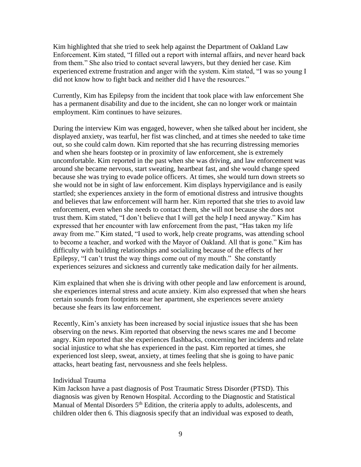Kim highlighted that she tried to seek help against the Department of Oakland Law Enforcement. Kim stated, "I filled out a report with internal affairs, and never heard back from them." She also tried to contact several lawyers, but they denied her case. Kim experienced extreme frustration and anger with the system. Kim stated, "I was so young I did not know how to fight back and neither did I have the resources."

Currently, Kim has Epilepsy from the incident that took place with law enforcement She has a permanent disability and due to the incident, she can no longer work or maintain employment. Kim continues to have seizures.

During the interview Kim was engaged, however, when she talked about her incident, she displayed anxiety, was tearful, her fist was clinched, and at times she needed to take time out, so she could calm down. Kim reported that she has recurring distressing memories and when she hears footstep or in proximity of law enforcement, she is extremely uncomfortable. Kim reported in the past when she was driving, and law enforcement was around she became nervous, start sweating, heartbeat fast, and she would change speed because she was trying to evade police officers. At times, she would turn down streets so she would not be in sight of law enforcement. Kim displays hypervigilance and is easily startled; she experiences anxiety in the form of emotional distress and intrusive thoughts and believes that law enforcement will harm her. Kim reported that she tries to avoid law enforcement, even when she needs to contact them, she will not because she does not trust them. Kim stated, "I don't believe that I will get the help I need anyway." Kim has expressed that her encounter with law enforcement from the past, "Has taken my life away from me." Kim stated, "I used to work, help create programs, was attending school to become a teacher, and worked with the Mayor of Oakland. All that is gone." Kim has difficulty with building relationships and socializing because of the effects of her Epilepsy, "I can't trust the way things come out of my mouth." She constantly experiences seizures and sickness and currently take medication daily for her ailments.

Kim explained that when she is driving with other people and law enforcement is around, she experiences internal stress and acute anxiety. Kim also expressed that when she hears certain sounds from footprints near her apartment, she experiences severe anxiety because she fears its law enforcement.

Recently, Kim's anxiety has been increased by social injustice issues that she has been observing on the news. Kim reported that observing the news scares me and I become angry. Kim reported that she experiences flashbacks, concerning her incidents and relate social injustice to what she has experienced in the past. Kim reported at times, she experienced lost sleep, sweat, anxiety, at times feeling that she is going to have panic attacks, heart beating fast, nervousness and she feels helpless.

#### Individual Trauma

Kim Jackson have a past diagnosis of Post Traumatic Stress Disorder (PTSD). This diagnosis was given by Renown Hospital. According to the Diagnostic and Statistical Manual of Mental Disorders 5<sup>th</sup> Edition, the criteria apply to adults, adolescents, and children older then 6. This diagnosis specify that an individual was exposed to death,